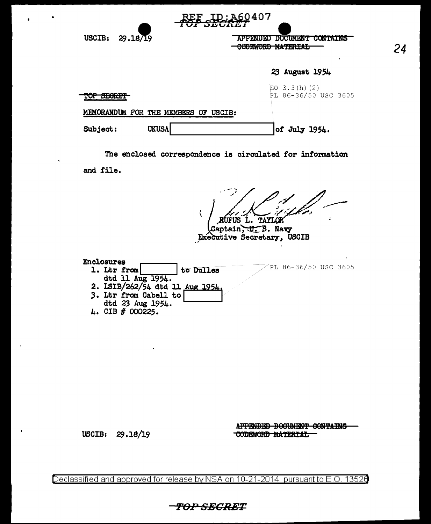| USCIB:<br>29.18/19                | APPENDED DOCUMENT CONTAINS<br><u>AADELIADD.</u><br><del>CODEWORD MATERIAL</del> |  |  |
|-----------------------------------|---------------------------------------------------------------------------------|--|--|
|                                   | ٠<br>23 August 1954                                                             |  |  |
| <b>BARTH</b><br><b>DEURT</b><br>u | EO $3.3(h)$ (2)<br>PL 86-36/50 USC 3605                                         |  |  |
| MEMORANDUM FOR THE MEMBERS        | OF USCIB:                                                                       |  |  |
| <b>UKUSA</b><br>Subject:          | of July 1954.                                                                   |  |  |
|                                   |                                                                                 |  |  |

<u>:260</u>407

24

The enclosed correspondence is circulated for information

and file.

.<br>1997 p RUFUS L. TAYLOR Captain, U.S. Navy<br>Executive Secretary, USCIB

| <b>Enclosures</b>               |           |                      |  |
|---------------------------------|-----------|----------------------|--|
| 1. Ltr from                     | to Dulles | PL 86-36/50 USC 3605 |  |
| dtd 11 Aug 1954.                |           |                      |  |
| 2. ISIB/262/54 dtd 11 Aug 1954. |           |                      |  |
| 3. Ltr from Cabell to           |           |                      |  |
| dtd 23 Aug 1954.                |           |                      |  |
| CIB # 000225.                   |           |                      |  |

### USCIB: 29.18/19

 $\mathbf{r}$ 

 $\mathbf{r}$ 

APPENDED DOCUMENT CONTAINS CODEWORD MATERIAL

Declassified and approved for release by NSA on 10-21-2014 pursuant to E.O. 13526

TOP SEGRET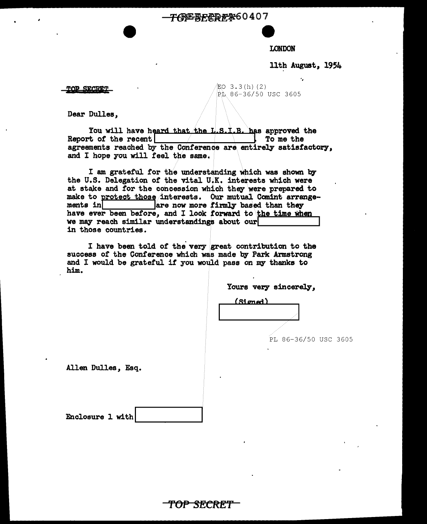**TOEBECREX60407** 

### LONDON

11th August, 1954

·,

TOP SECRET  $\sqrt{EQ}$  3.3(h)(2)

 $R_L$  86-36/50 USC 3605

Dear Dulles,

You will have hTam that/the L.s.:t.B. hfs approved the Report of the recent agreements reached by the Conference are entirely satisfactory, and I hope you will feel the same.

I am grateful tor the understanding which was shown by the U.S. Delegation of the vital U.K. interests wh1ch were at stake and for the concession which they were prepared to make to rrotect thos,/interests. Ou.• r mutual·. COJDint arrange- ments in\_ \_are now more firmly based than they have ever been before, and I look forward to the time when we may reach similar understandings about our in those countries.

I have been told of the very great contribution to the auccess *ot* the Conference which was made by Park Armstrong and I would be grateful it 7ou would pass on my thanks to him.

|                          | Yours very sincerely, |  |  |
|--------------------------|-----------------------|--|--|
| $\overline{\phantom{a}}$ |                       |  |  |

(Signed)

PL 86-36/50 USC 3605

Allen Dulles, Esq.

| Enclosure 1 with |  |  |
|------------------|--|--|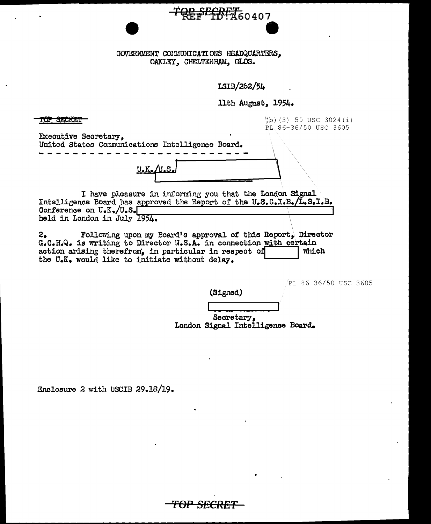GOVERNMENT COMMUNICATIONS HEADQUARTERS. OAKLEY, CHELTENHAM, GLOS.

ISIB/262/54

<del>\$<sup>ECRET</sup>60407</del>

11th August, 1954.

(b)  $(3) - 50$  USC 3024(i) <del>op segnet</del> PL 86-36/50 USC 3605 **Executive Secretary,** United States Communications Intelligence Board. I have pleasure in informing you that the London Signal Intelligence Board has approved the Report of the U.S.C.I.B./L.S.I.B. Conference on U.K./U.S. held in London in July 1954. Following upon my Board's approval of this Report, Director  $2.5$ G.C.H.Q. is writing to Director N.S.A. in connection with certain action arising therefrom, in particular in respect of which the U.K. would like to initiate without delay.

PL 86-36/50 USC 3605

Secretary, London Signal Intelligence Board.

(Signed)

'<del>OP SECRET</del>

Enclosure 2 with USCIB 29.18/19.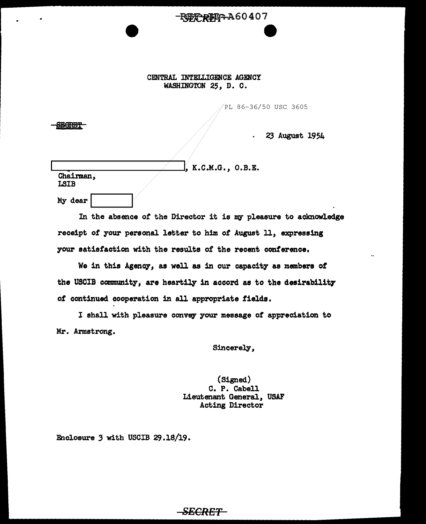# -REE REP-A60407 e

### CENTRAL INTELLIGENCE AGENCY WASHINGTON 25, D. C.

PL 86-36/50 USC 3605

23 August 1954

|                          | $f$ , K.C.M.G., O.B.E. |
|--------------------------|------------------------|
| Chairman,<br><b>LSIB</b> |                        |
| My dear                  |                        |

**SECRET** 

In the absence of the Director it is my pleasure to acknowledge receipt *ot* your personal letter to him of August 11, expressing your satisfaction with the results of the recent conference.

We in this Agency, as well as in our capacity as members of the USCIB community, are heartily in accord as to the desirability *ot* continued cooperation in all appropriate fields.

I shall with pleasure convey your message of appreciation to Mr. Armstrong.

SECRET

Sincerely,

(Signed) C. P. Cabell Lieutenant General, USAF Acting Director

Enclosure  $3$  with USCIB  $29.18/19$ .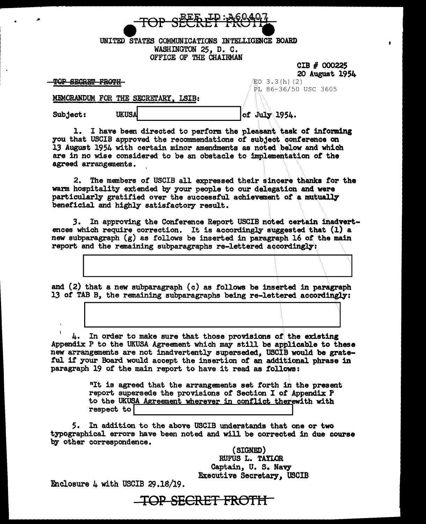

UNITED STATES COMMUNICATIONS INTELLIGENCE BOARD WASHINGTON 25, D. C. OFFICE OF THE CHAIRMAN

> CIB # 000225 20 August 1954

TOP SECRET FROTH-

 $EO 3.3(h) (2)$ P.L 86-36/50 USC 3605

MDIORANDUM. FOR THE SECRErARY, LSIB:

 $Sub.\, 1954. \quad \text{UKUSA}$ 

1. I have been directed to perform the pleasant task *ot* informing you that USCIB approved the recommendations of subject conference on l.3 August 1954 with certain minor amendments as noted \.below and which are in no wise considered to be an obstacle to implementation of the agreed arrangements.

2. The members of USCIB all expressed their sincere thanks tor the warm hospitality extended by your people to our delegation and were particularly gratified over the successful achievement of a mutually beneficial and highly satisfactory result.

3. In approving the Conference Report USCIB noted certain inadvertences which require correction. It is accordingly suggested that  $(1)$  a new subparagraph  $(g)$  as follows be inserted in paragraph 16 of the main report and the remaining subparagraphs re-lettered accordingly:

and (2) that a new subparagraph (c) as follows be inserted in paragraph 13 of TAB B, the remaining subparagraphs being re-lettered accordingly:

4. In order to make sure that those provisions of the existing Appendix P to the UKUSA Agreement which may still be applicable to these new arrangements are not inadvertently superseded, USCIB would be grateful if your Board would accept the insertion of an additional phrase in paragraph 19 of the main report to have it read as follows:

> "It is agreed that the arrangements set forth in the present report supersede the provisions of Section I of Appendix P to the UKUSA Agreement wherever in conflict therewith with respect to

5. In addition to the above USCIB understands that one or two typographical errors have been noted and will be corrected in due course by other correspondence.

> (SIGNED) RUFUS L. TAYLOR Captain, U. s. Navy Executive Secretary, USCIB

Enclosure  $4$  with USCIB  $29.18/19$ .

# TOP SECRET FROTH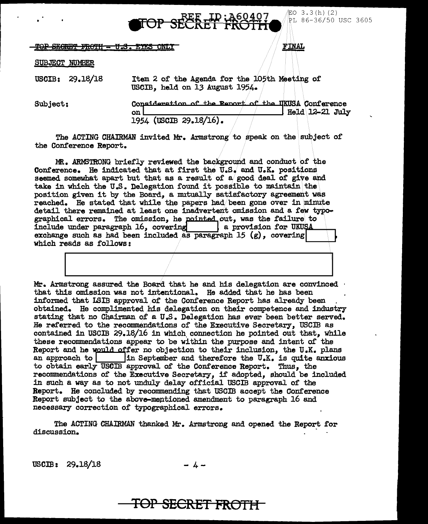<u>ID:460407</u><br>ET FROTH

<del>SEGRET FROTH - U.S. EYES ONLY</del>

**魢O 3.3(h) (2)** PL 86-36/50 USC 3605

FINAL

### **SUBJECT NUMBER**

USCIB: 29.18/18 Item 2 of the Agenda for the 105th Meeting of USCIB. held on 13 August 1954.

Consideration of the Renort of the UKUSA Conference Subject: | Held 12-21 July on I 1954 (USCIB 29.18/16).

The ACTING CHAIRMAN invited Mr. Armstrong to speak on the subject of the Conference Report.

MR. ARMSTRONG briefly reviewed the background and conduct of the Conference. He indicated that at first the U.S. and U.K. positions seemed somewhat apart but that as a result of a good deal of give and take in which the U.S. Delegation found it possible to maintain the position given it by the Board, a mutually satisfactory agreement was reached. He stated that while the papers had been gone over in minute detail there remained at least one inadvertent omission and a few typographical errors. The omission, he pointed out, was the failure to include under paragraph 16, covering a provision for UKUSA exchange such as had been included as paragraph 15  $(g)$ , covering which reads as follows:

Mr. Armstrong assured the Board that he and his delegation are convinced that this omission was not intentional. He added that he has been informed that ISIB approval of the Conference Report has already been obtained. He complimented his delegation on their competence and industry stating that no Chairman of a U.S. Delegation has ever been better served. He referred to the recommendations of the Executive Secretary, USCIB as contained in USCIB 29.18/16 in which connection he pointed out that, while these recommendations appear to be within the purpose and intent of the Report and he would offer no objection to their inclusion, the U.K. plans in September and therefore the U.K. is quite anxious an approach to to obtain early USCIB approval of the Conference Report. Thus, the recommendations of the Executive Secretary, if adopted, should be included in such a way as to not unduly delay official USCIB approval of the Report. He concluded by recommending that USCIB accept the Conference Report subject to the above-mentioned amendment to paragraph 16 and necessary correction of typographical errors.

The ACTING CHAIRMAN thanked Mr. Armstrong and opened the Report for discussion.

 $USCB: 29.18/18$ 

 $-4-$ 

# **TOP SECRET FROTH-**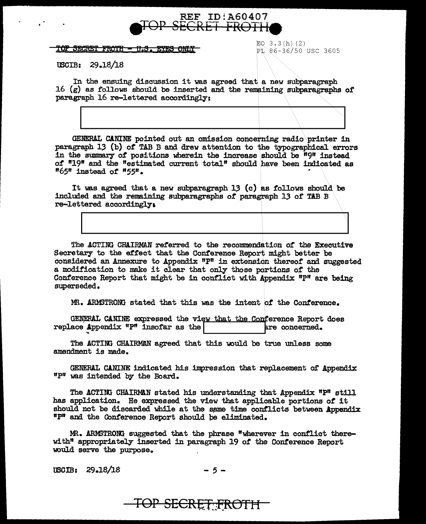

<u> TOP SECRET FROTH - U.S. EYES ONLY-</u>

 $EO$  3.3 $(h)$  (2)  $PL 86-36/50$  USC 3605

U3CIB: 29.18/18

In the ensuing discussion it was agreed that a new subparagraph 16 (g) as follows should be inserted and the remaining subparagraphs of paragraph 16 re-lettered accordingly:

GENERAL CANINE pointed out an omission concerning radio\printer in paragraph 13 (b) of TAB B and drew attention to the typographical errors in the summary *ot* positions wherein the increase should be "9" instead of "19" and the "estimated current total" should have been indicated as D65" instead *ot* "55<sup>11</sup> • •

It was agreed that a new subparagraph  $13$  (c) as follows should be included and the remaining subparagraphs of paragraph 13 of TAB B re-lettered accordingly,

The ACTING CHAIRMAN re£erred to the recommendation of the Executive Secretary to the effect that the Conference Report might better be considered an Annexure to Appendix  $n_{\text{P}}$  in extension thereof and suggested a modification to make it clear that only those portions of the Conference Report that might be in conflict with Appendix  $P$ " are being superseded.

MR. ARMSTRONG stated that this was the intent of the Conference.

GENERAL CANINE expressed the view that the Conference Report does<br>ace Appendix "P" insofar as the  $\vert$ replace Appendix  $P$ " insofar as the

The ACTING CHAIRMAN agreed that this would be true unless some amendment is made.

GENERAL CANINE indicated his impression that replacement of Appendix "P" was intended by the Board.

The ACTING CHAIRMAN stated his understanding that Appendix "P" still has application. He expressed the view that applicable portions *ot* it should not be discarded while at the same time conflicts between Appendix "P" and the Conference Report should be eliminated.

MR. ARMSTRONG suggested that the phrase "wherever in conflict therewith" appropriately inserted in paragraph 19 *ot* the Conference Report wuld serve the purpose.

TOP SECRET FROTH

tBOIB: 29.18/18 - *5* -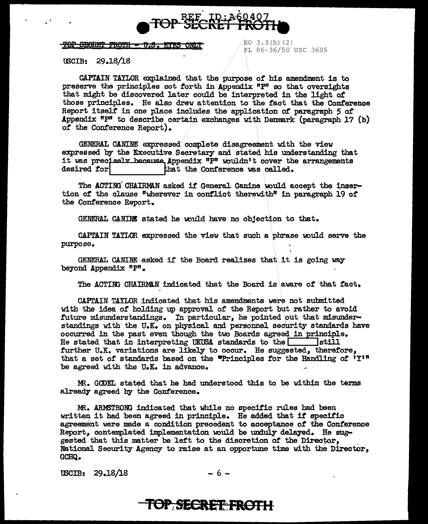

#### <u>TOP SEGRET FROTH - U.S. EYES ONLY</u>

 $EO$  3.3 $(h)$  (2) PL 86-36/50 USC 3605

lBCIB: 29.18/18

CAPTAIN TAYLOR explained that the purpose of his amendment is to preserve the principles sot forth in Appendix  $P^{\text{H}}$  so that oversights that might be discovered later could be interpreted in the light of those principles. He also drew attention to the fact that the Conference Report itsell' in one place includes the application or paragraph *5 ot*  Appendix  $n_{\text{P}}$  to describe certain exchanges with Denmark (paragraph 17 (b) of the Conference Report).

GENERAL CANINE expressed complete disagreement with the view expressed by the Executive/Secretary and stated his understanding that it was precisely because Appendix  $n$ <sup>n</sup> wouldn't cover the arrangements desired for  $n$  that the Conference was called.

The ACTING' CHAIRMAN asked it General Canine would accept the insertion or the clause "wherever in contlict therewith" in paragraph 19 or the Conterence Report.

GENERAL CANINE stated he would have no objection to that.

CAPTAIN TAYLOR expressed the view that such a phrase would serve the purpose.

GENERAL CANINE asked if the Board realizes that it is going way beyond Appendix  $n_p$ .

The ACTING CHAIRMAN indicated that the Board is aware of that fact.

CAPTAIN TAYLOR indicated that his amendments were not submitted with the idea of holding up approval of the Report but rather to avoid future misunderstandings. In particular, he pointed out that misunderstandings with the U.K. on physical and personnel security standards have occurred in the past even though the two Boards agreed in principle.<br>He stated that in interpreting UKUSA standards to the stated latill He stated that in interpreting UKUSA standards to the  $\Box$ further U.K. variations are likely to occur. He suggested, therefore, that a set of standards based on the "Principles for the Handling of  $1\text{Y}$ <sup>17</sup> be agreed with the U.K. in advance.

m. GODEL stated that he had understood this to be within the terms already agreed by the Conference.

MR. ARM3TRONG indicated that while no specific rules had been written it had been agreed in principle. He added that if specific agreement were made a condition precedent to acceptance of the Conference Report, contemplated implementation would be unduly delayed. He sug-<br>gested that this matter be left to the discretion of the Director, National Security Agency to raise at an opportune time with the Director, GCHQ.

 $\text{USCIB:} \quad 29.18/18 \quad -6 -$ 

## **TOP, SECRET: FROTH**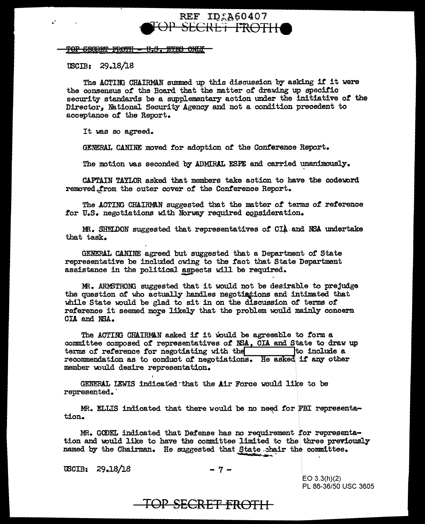### **REF ID:A60407** <del>OP SECRET FROTH</del>

### **TOP SECRET FROTH - U.S. EYES ONLY**

USCIB: 29.18/18

 $\ddot{\phantom{a}}$ 

The ACTING CHAIRMAN summed up this discussion by asking if it were the consensus of the Board that the matter of drawing up specific security standards be a supplementary action under the initiative of the Director. National Security Agency and not a condition precedent to acceptance of the Report.

It was so agreed.

GENERAL CANINE moved for adoption of the Conference Report.

The motion was seconded by ADMIRAL ESPE and carried unanimously.

CAPTAIN TAYLOR asked that members take action to have the codeword removed.from the outer cover of the Conference Report.

The ACTING CHAIRMAN suggested that the matter of terms of reference for U.S. negotiations with Norway required consideration.

MR. SHELDON suggested that representatives of CIA and NSA undertake that task.

GENERAL CANINE agreed but suggested that a Department of State representative be included owing to the fact that State Department assistance in the political aspects will be required.

MR. ARNSTRONG suggested that it would not be desirable to prejudge the question of who actually handles negotiations and intimated that while State would be glad to sit in on the discussion of terms of reference it seemed more likely that the problem would mainly concern CIA and NSA.

The ACTING CHAIRMAN asked if it would be agreeable to form a committee composed of representatives of NSA, CIA and State to draw up terms of reference for negotiating with the state of to include a recommendation as to conduct of negotiations. He asked if any other member would desire representation.

GENERAL LEWIS indicated that the Air Force would like to be represented.

MR. ELLIS indicated that there would be no need for FBI representation.

MR. GODEL indicated that Defense has no requirement for representation and would like to have the committee limited to the three previously named by the Chairman. He suggested that State chair the committee.

USCIB: 29.18/18

 $-7-$ 

 $EO 3.3(h)(2)$ PL 86-36/50 USC 3605

TOP SECRET FROTH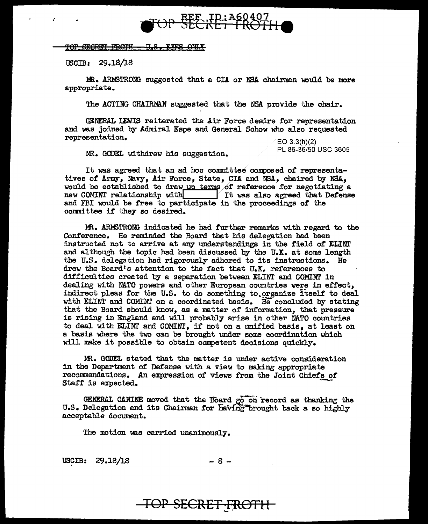

### TOP SEGRET FROTH - U.S. EYES ONLY

USCIB: 29.18/18

MR. ARMSTRONG suggested that a CIA or NSA chairman would be more appropriate.

The ACTING CHAIRMAN suggested that the NSA provide the chair.

GENERAL LEWIS reiterated the Air Force desire for representation and was joined by Admiral Espe and General Schow who also requested representation.<br>  $\angle$ EO 3.3(h)(2)<br>
PL 86-36/50 USC 3605

MR. GODEL withdrew his suggestion.

It was agreed that an ad hoc committee composed of representatives of Army, Navy, Air Force, State, CIA and NSA, chaired by NSA, would be established to draw up terms of reference for negotiating a new COMINT relationship with the state of the same of the contract of the COMINT relationship with  $\frac{1}{\sqrt{1}}$  it was also agreed that Defense new COMINT relationship with Table 1 and also agreed that Defense and FBI would be free to participate in the proceedings of the committee if they so desired.

MR. ARMSTRONG indicated he had further remarks with regard to the Conference. He reminded the Board that his delegation had been instructed not to arrive at any understandings in the field *ot* ELINI' and although the topic had been discussed by the  $U_\bullet X_\bullet$  at some length the U.S. delegation had rigorously adhered to its instructions. He drew the Board's attention to the fact that U.X. references to difficulties created by a separation between ELINT and COMINT in dealing with NATO powers and other European countries were in effect, indirect pleas for the U.S. to do something to organize itself to deal with ELINT and COMINT on a coordinated basis. He concluded by stating that the Board should know, as a matter or information, that pressure is rising in England and will probably arise in other NATO countries to deal with ELINT and COMINJ.' *1* if not on a unified basis *1* at least on a basis where the two can be brought under some coordination which will make it possible to obtain competent decisions quickly.

MR. GODEL stated that the matter is under active consideration *in* the Department of Defense with a view to making appropriate recommendations. An expression of views from the Joint Chiefs *or*  Staff is expected.

GENERAL CANINE moved that the Board go on record as thanking the U.S. Delegation and its Chairman for having brought back a so highly acceptable document.

The motion was carried unanimously.

 $USCIB: 29.18/18$  - 8 -

## TOP SECRET FROTH